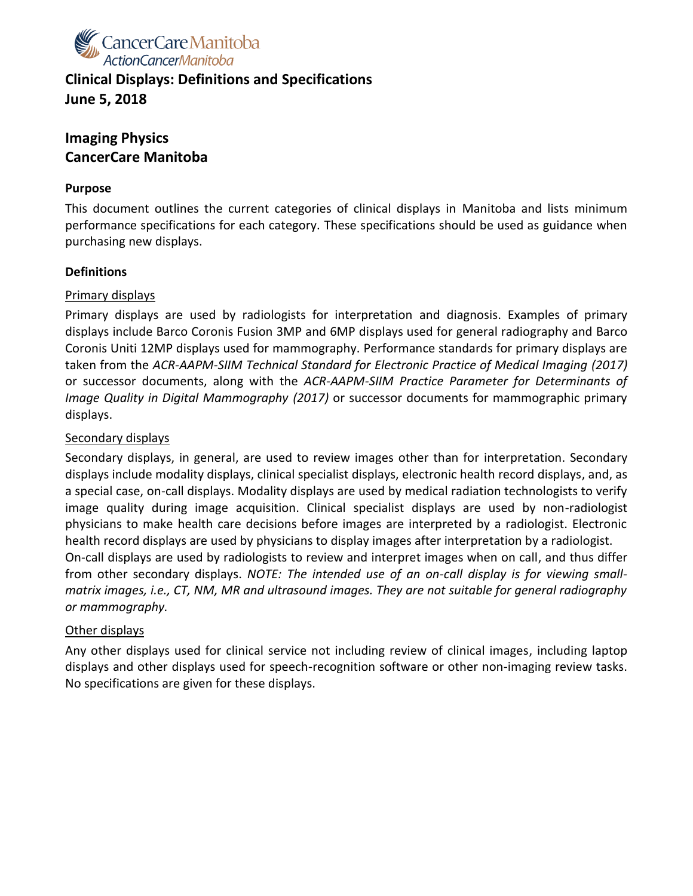

# **Clinical Displays: Definitions and Specifications June 5, 2018**

## **Imaging Physics CancerCare Manitoba**

#### **Purpose**

This document outlines the current categories of clinical displays in Manitoba and lists minimum performance specifications for each category. These specifications should be used as guidance when purchasing new displays.

#### **Definitions**

#### Primary displays

Primary displays are used by radiologists for interpretation and diagnosis. Examples of primary displays include Barco Coronis Fusion 3MP and 6MP displays used for general radiography and Barco Coronis Uniti 12MP displays used for mammography. Performance standards for primary displays are taken from the *ACR-AAPM-SIIM Technical Standard for Electronic Practice of Medical Imaging (2017)* or successor documents, along with the *ACR-AAPM-SIIM Practice Parameter for Determinants of Image Quality in Digital Mammography (2017)* or successor documents for mammographic primary displays.

#### Secondary displays

Secondary displays, in general, are used to review images other than for interpretation. Secondary displays include modality displays, clinical specialist displays, electronic health record displays, and, as a special case, on-call displays. Modality displays are used by medical radiation technologists to verify image quality during image acquisition. Clinical specialist displays are used by non-radiologist physicians to make health care decisions before images are interpreted by a radiologist. Electronic health record displays are used by physicians to display images after interpretation by a radiologist. On-call displays are used by radiologists to review and interpret images when on call, and thus differ from other secondary displays. *NOTE: The intended use of an on-call display is for viewing smallmatrix images, i.e., CT, NM, MR and ultrasound images. They are not suitable for general radiography or mammography.*

#### Other displays

Any other displays used for clinical service not including review of clinical images, including laptop displays and other displays used for speech-recognition software or other non-imaging review tasks. No specifications are given for these displays.